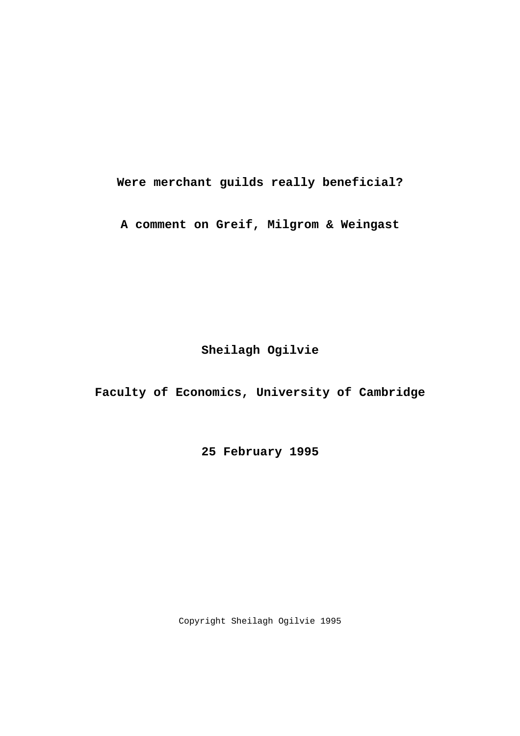**Were merchant guilds really beneficial?** 

**A comment on Greif, Milgrom & Weingast** 

**Sheilagh Ogilvie** 

**Faculty of Economics, University of Cambridge** 

**25 February 1995** 

Copyright Sheilagh Ogilvie 1995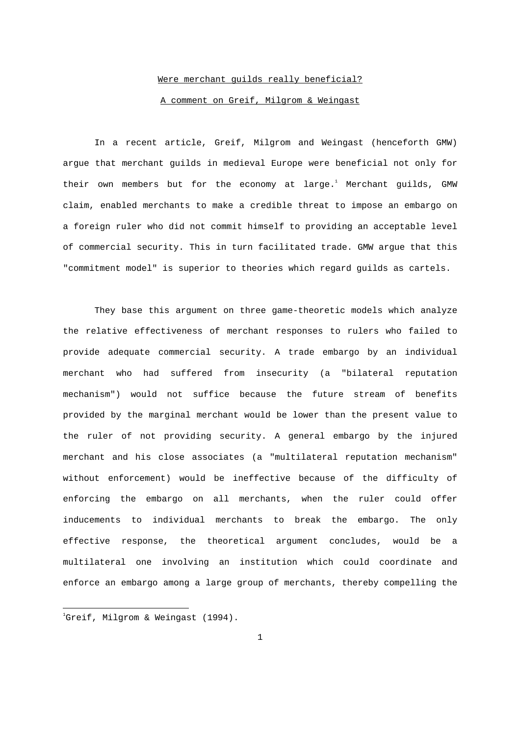# Were merchant guilds really beneficial? A comment on Greif, Milgrom & Weingast

 In a recent article, Greif, Milgrom and Weingast (henceforth GMW) argue that merchant guilds in medieval Europe were beneficial not only for their own members but for the economy at large.<sup>1</sup> Merchant guilds, GMW claim, enabled merchants to make a credible threat to impose an embargo on a foreign ruler who did not commit himself to providing an acceptable level of commercial security. This in turn facilitated trade. GMW argue that this "commitment model" is superior to theories which regard guilds as cartels.

 They base this argument on three game-theoretic models which analyze the relative effectiveness of merchant responses to rulers who failed to provide adequate commercial security. A trade embargo by an individual merchant who had suffered from insecurity (a "bilateral reputation mechanism") would not suffice because the future stream of benefits provided by the marginal merchant would be lower than the present value to the ruler of not providing security. A general embargo by the injured merchant and his close associates (a "multilateral reputation mechanism" without enforcement) would be ineffective because of the difficulty of enforcing the embargo on all merchants, when the ruler could offer inducements to individual merchants to break the embargo. The only effective response, the theoretical argument concludes, would be a multilateral one involving an institution which could coordinate and enforce an embargo among a large group of merchants, thereby compelling the

 $^{1}$ Greif, Milgrom & Weingast (1994).

i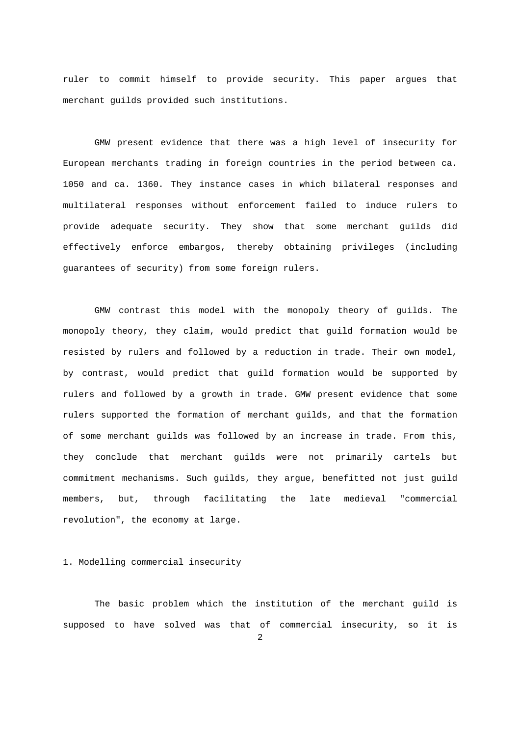ruler to commit himself to provide security. This paper argues that merchant guilds provided such institutions.

 GMW present evidence that there was a high level of insecurity for European merchants trading in foreign countries in the period between ca. 1050 and ca. 1360. They instance cases in which bilateral responses and multilateral responses without enforcement failed to induce rulers to provide adequate security. They show that some merchant guilds did effectively enforce embargos, thereby obtaining privileges (including guarantees of security) from some foreign rulers.

 GMW contrast this model with the monopoly theory of guilds. The monopoly theory, they claim, would predict that guild formation would be resisted by rulers and followed by a reduction in trade. Their own model, by contrast, would predict that guild formation would be supported by rulers and followed by a growth in trade. GMW present evidence that some rulers supported the formation of merchant guilds, and that the formation of some merchant guilds was followed by an increase in trade. From this, they conclude that merchant guilds were not primarily cartels but commitment mechanisms. Such guilds, they argue, benefitted not just guild members, but, through facilitating the late medieval "commercial revolution", the economy at large.

# 1. Modelling commercial insecurity

 The basic problem which the institution of the merchant guild is supposed to have solved was that of commercial insecurity, so it is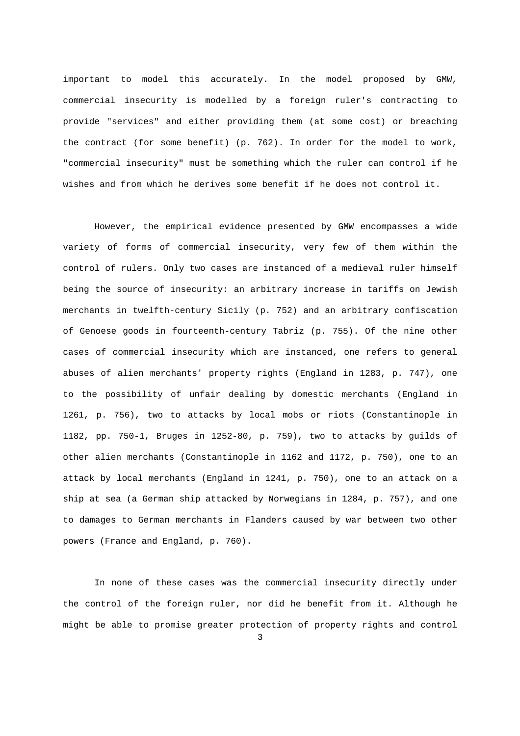important to model this accurately. In the model proposed by GMW, commercial insecurity is modelled by a foreign ruler's contracting to provide "services" and either providing them (at some cost) or breaching the contract (for some benefit) (p. 762). In order for the model to work, "commercial insecurity" must be something which the ruler can control if he wishes and from which he derives some benefit if he does not control it.

 However, the empirical evidence presented by GMW encompasses a wide variety of forms of commercial insecurity, very few of them within the control of rulers. Only two cases are instanced of a medieval ruler himself being the source of insecurity: an arbitrary increase in tariffs on Jewish merchants in twelfth-century Sicily (p. 752) and an arbitrary confiscation of Genoese goods in fourteenth-century Tabriz (p. 755). Of the nine other cases of commercial insecurity which are instanced, one refers to general abuses of alien merchants' property rights (England in 1283, p. 747), one to the possibility of unfair dealing by domestic merchants (England in 1261, p. 756), two to attacks by local mobs or riots (Constantinople in 1182, pp. 750-1, Bruges in 1252-80, p. 759), two to attacks by guilds of other alien merchants (Constantinople in 1162 and 1172, p. 750), one to an attack by local merchants (England in 1241, p. 750), one to an attack on a ship at sea (a German ship attacked by Norwegians in 1284, p. 757), and one to damages to German merchants in Flanders caused by war between two other powers (France and England, p. 760).

 In none of these cases was the commercial insecurity directly under the control of the foreign ruler, nor did he benefit from it. Although he might be able to promise greater protection of property rights and control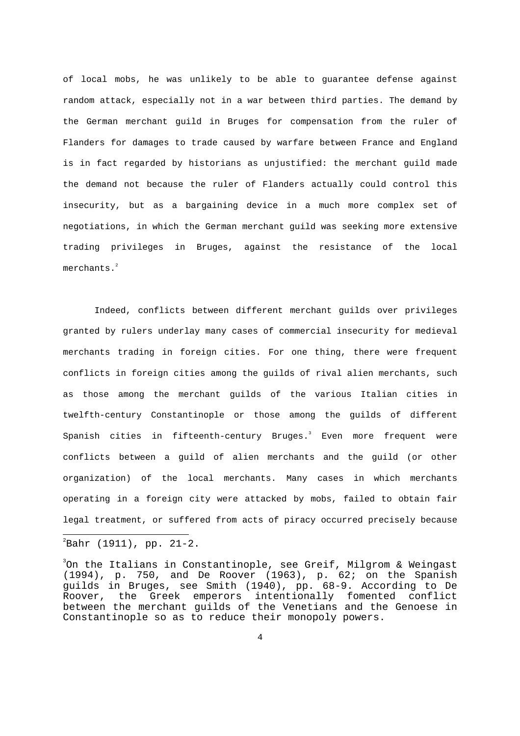of local mobs, he was unlikely to be able to guarantee defense against random attack, especially not in a war between third parties. The demand by the German merchant guild in Bruges for compensation from the ruler of Flanders for damages to trade caused by warfare between France and England is in fact regarded by historians as unjustified: the merchant guild made the demand not because the ruler of Flanders actually could control this insecurity, but as a bargaining device in a much more complex set of negotiations, in which the German merchant guild was seeking more extensive trading privileges in Bruges, against the resistance of the local merchants.<sup>2</sup>

 Indeed, conflicts between different merchant guilds over privileges granted by rulers underlay many cases of commercial insecurity for medieval merchants trading in foreign cities. For one thing, there were frequent conflicts in foreign cities among the guilds of rival alien merchants, such as those among the merchant guilds of the various Italian cities in twelfth-century Constantinople or those among the guilds of different Spanish cities in fifteenth-century Bruges.<sup>3</sup> Even more frequent were conflicts between a guild of alien merchants and the guild (or other organization) of the local merchants. Many cases in which merchants operating in a foreign city were attacked by mobs, failed to obtain fair legal treatment, or suffered from acts of piracy occurred precisely because  $\overline{\phantom{a}}$ 

 $\mathrm{^{2}Bahr}$  (1911), pp. 21-2.

 $^3$ On the Italians in Constantinople, see Greif, Milgrom & Weingast (1994), p. 750, and De Roover (1963), p. 62; on the Spanish guilds in Bruges, see Smith (1940), pp. 68-9. According to De Roover, the Greek emperors intentionally fomented conflict between the merchant guilds of the Venetians and the Genoese in Constantinople so as to reduce their monopoly powers.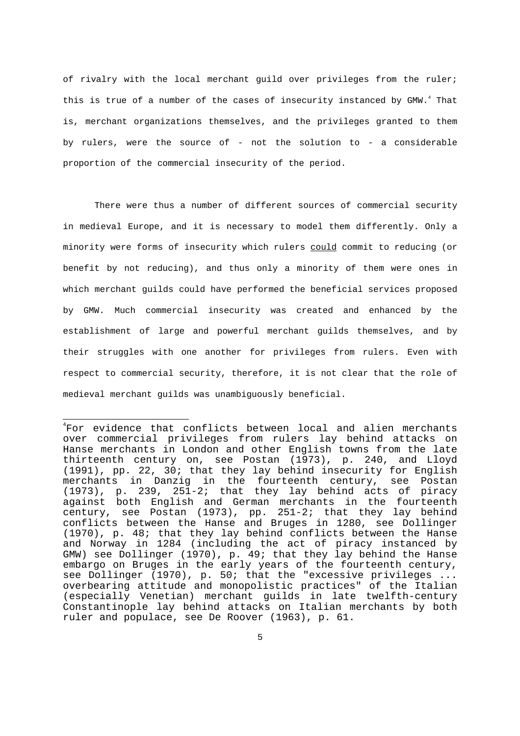of rivalry with the local merchant guild over privileges from the ruler; this is true of a number of the cases of insecurity instanced by GMW. $^4$  That is, merchant organizations themselves, and the privileges granted to them by rulers, were the source of - not the solution to - a considerable proportion of the commercial insecurity of the period.

 There were thus a number of different sources of commercial security in medieval Europe, and it is necessary to model them differently. Only a minority were forms of insecurity which rulers could commit to reducing (or benefit by not reducing), and thus only a minority of them were ones in which merchant guilds could have performed the beneficial services proposed by GMW. Much commercial insecurity was created and enhanced by the establishment of large and powerful merchant guilds themselves, and by their struggles with one another for privileges from rulers. Even with respect to commercial security, therefore, it is not clear that the role of medieval merchant guilds was unambiguously beneficial.

 $\overline{a}$ 

<sup>4</sup> For evidence that conflicts between local and alien merchants over commercial privileges from rulers lay behind attacks on Hanse merchants in London and other English towns from the late thirteenth century on, see Postan (1973), p. 240, and Lloyd (1991), pp. 22, 30; that they lay behind insecurity for English merchants in Danzig in the fourteenth century, see Postan (1973), p. 239, 251-2; that they lay behind acts of piracy against both English and German merchants in the fourteenth century, see Postan (1973), pp. 251-2; that they lay behind conflicts between the Hanse and Bruges in 1280, see Dollinger (1970), p. 48; that they lay behind conflicts between the Hanse and Norway in 1284 (including the act of piracy instanced by GMW) see Dollinger (1970), p. 49; that they lay behind the Hanse embargo on Bruges in the early years of the fourteenth century, see Dollinger (1970), p. 50; that the "excessive privileges ... overbearing attitude and monopolistic practices" of the Italian (especially Venetian) merchant guilds in late twelfth-century Constantinople lay behind attacks on Italian merchants by both ruler and populace, see De Roover (1963), p. 61.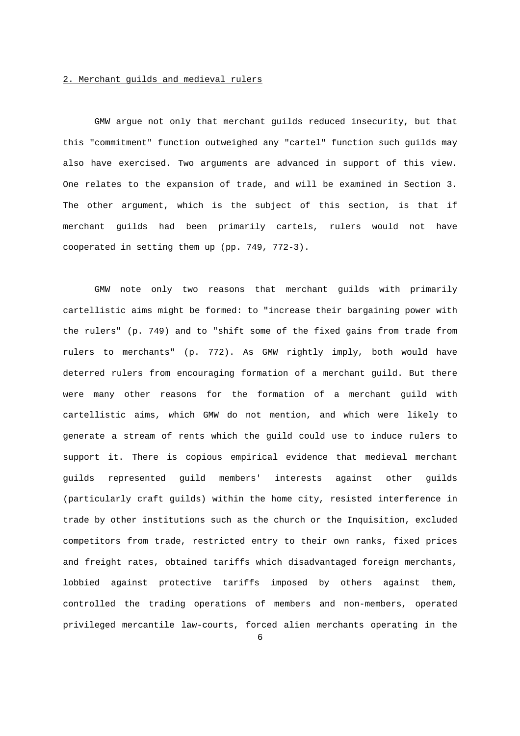#### 2. Merchant guilds and medieval rulers

 GMW argue not only that merchant guilds reduced insecurity, but that this "commitment" function outweighed any "cartel" function such guilds may also have exercised. Two arguments are advanced in support of this view. One relates to the expansion of trade, and will be examined in Section 3. The other argument, which is the subject of this section, is that if merchant guilds had been primarily cartels, rulers would not have cooperated in setting them up (pp. 749, 772-3).

 GMW note only two reasons that merchant guilds with primarily cartellistic aims might be formed: to "increase their bargaining power with the rulers" (p. 749) and to "shift some of the fixed gains from trade from rulers to merchants" (p. 772). As GMW rightly imply, both would have deterred rulers from encouraging formation of a merchant guild. But there were many other reasons for the formation of a merchant guild with cartellistic aims, which GMW do not mention, and which were likely to generate a stream of rents which the guild could use to induce rulers to support it. There is copious empirical evidence that medieval merchant guilds represented guild members' interests against other guilds (particularly craft guilds) within the home city, resisted interference in trade by other institutions such as the church or the Inquisition, excluded competitors from trade, restricted entry to their own ranks, fixed prices and freight rates, obtained tariffs which disadvantaged foreign merchants, lobbied against protective tariffs imposed by others against them, controlled the trading operations of members and non-members, operated privileged mercantile law-courts, forced alien merchants operating in the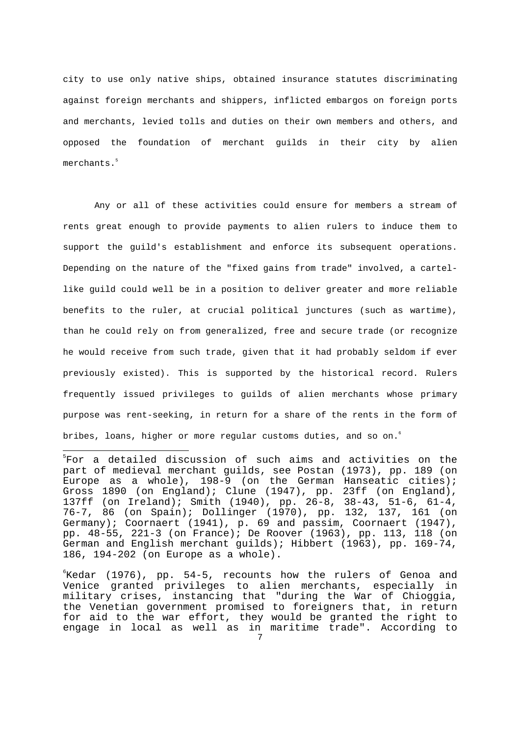city to use only native ships, obtained insurance statutes discriminating against foreign merchants and shippers, inflicted embargos on foreign ports and merchants, levied tolls and duties on their own members and others, and opposed the foundation of merchant guilds in their city by alien merchants.<sup>5</sup>

 Any or all of these activities could ensure for members a stream of rents great enough to provide payments to alien rulers to induce them to support the guild's establishment and enforce its subsequent operations. Depending on the nature of the "fixed gains from trade" involved, a cartellike guild could well be in a position to deliver greater and more reliable benefits to the ruler, at crucial political junctures (such as wartime), than he could rely on from generalized, free and secure trade (or recognize he would receive from such trade, given that it had probably seldom if ever previously existed). This is supported by the historical record. Rulers frequently issued privileges to guilds of alien merchants whose primary purpose was rent-seeking, in return for a share of the rents in the form of bribes, loans, higher or more regular customs duties, and so on.<br>6

 $\overline{a}$ 

 ${}^{\circ}$ Kedar (1976), pp. 54-5, recounts how the rulers of Genoa and Venice granted privileges to alien merchants, especially in military crises, instancing that "during the War of Chioggia, the Venetian government promised to foreigners that, in return for aid to the war effort, they would be granted the right to engage in local as well as in maritime trade". According to

<sup>5</sup> For a detailed discussion of such aims and activities on the part of medieval merchant guilds, see Postan (1973), pp. 189 (on Europe as a whole), 198-9 (on the German Hanseatic cities); Gross 1890 (on England); Clune (1947), pp. 23ff (on England), 137ff (on Ireland); Smith (1940), pp. 26-8, 38-43, 51-6, 61-4, 76-7, 86 (on Spain); Dollinger (1970), pp. 132, 137, 161 (on Germany); Coornaert (1941), p. 69 and passim, Coornaert (1947), pp. 48-55, 221-3 (on France); De Roover (1963), pp. 113, 118 (on German and English merchant guilds); Hibbert (1963), pp. 169-74, 186, 194-202 (on Europe as a whole).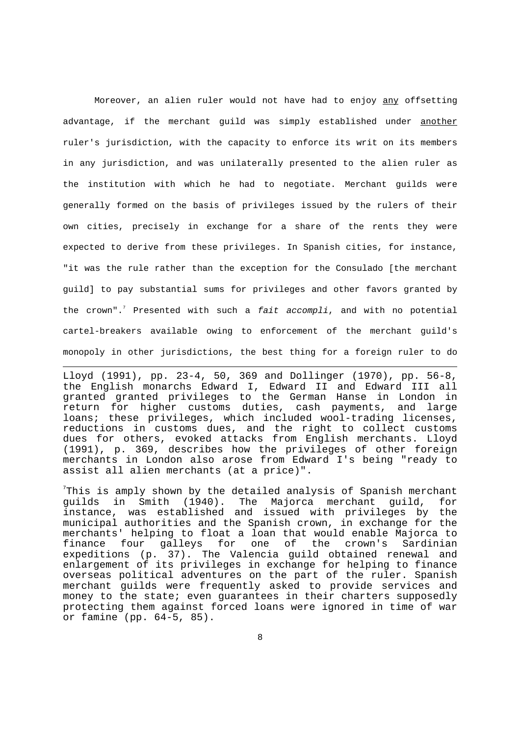Moreover, an alien ruler would not have had to enjoy any offsetting advantage, if the merchant guild was simply established under another ruler's jurisdiction, with the capacity to enforce its writ on its members in any jurisdiction, and was unilaterally presented to the alien ruler as the institution with which he had to negotiate. Merchant guilds were generally formed on the basis of privileges issued by the rulers of their own cities, precisely in exchange for a share of the rents they were expected to derive from these privileges. In Spanish cities, for instance, "it was the rule rather than the exception for the Consulado [the merchant guild] to pay substantial sums for privileges and other favors granted by the crown".<sup>7</sup> Presented with such a fait accompli, and with no potential cartel-breakers available owing to enforcement of the merchant guild's monopoly in other jurisdictions, the best thing for a foreign ruler to do

Lloyd (1991), pp. 23-4, 50, 369 and Dollinger (1970), pp. 56-8, the English monarchs Edward I, Edward II and Edward III all granted granted privileges to the German Hanse in London in return for higher customs duties, cash payments, and large loans; these privileges, which included wool-trading licenses, reductions in customs dues, and the right to collect customs dues for others, evoked attacks from English merchants. Lloyd (1991), p. 369, describes how the privileges of other foreign merchants in London also arose from Edward I's being "ready to assist all alien merchants (at a price)".

i

 $^7$ This is amply shown by the detailed analysis of Spanish merchant guilds in Smith (1940). The Majorca merchant guild, for instance, was established and issued with privileges by the municipal authorities and the Spanish crown, in exchange for the merchants' helping to float a loan that would enable Majorca to finance four galleys for one of the crown's Sardinian expeditions (p. 37). The Valencia guild obtained renewal and enlargement of its privileges in exchange for helping to finance overseas political adventures on the part of the ruler. Spanish merchant guilds were frequently asked to provide services and money to the state; even guarantees in their charters supposedly protecting them against forced loans were ignored in time of war or famine (pp. 64-5, 85).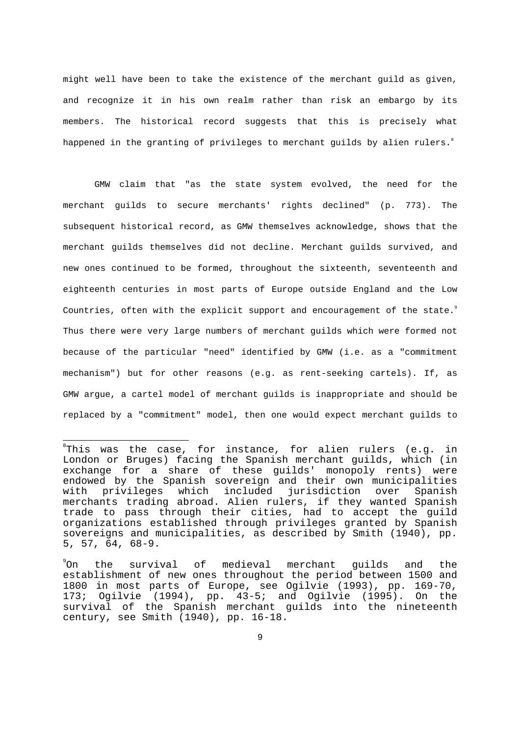might well have been to take the existence of the merchant guild as given, and recognize it in his own realm rather than risk an embargo by its members. The historical record suggests that this is precisely what happened in the granting of privileges to merchant guilds by alien rulers. $^{\circ}$ 

 GMW claim that "as the state system evolved, the need for the merchant guilds to secure merchants' rights declined" (p. 773). The subsequent historical record, as GMW themselves acknowledge, shows that the merchant guilds themselves did not decline. Merchant guilds survived, and new ones continued to be formed, throughout the sixteenth, seventeenth and eighteenth centuries in most parts of Europe outside England and the Low Countries, often with the explicit support and encouragement of the state.<sup>9</sup> Thus there were very large numbers of merchant guilds which were formed not because of the particular "need" identified by GMW (i.e. as a "commitment mechanism") but for other reasons (e.g. as rent-seeking cartels). If, as GMW argue, a cartel model of merchant guilds is inappropriate and should be replaced by a "commitment" model, then one would expect merchant guilds to

 $\overline{\phantom{a}}$ 

 ${}^{\rm s}$ This was the case, for instance, for alien rulers (e.g. in London or Bruges) facing the Spanish merchant guilds, which (in exchange for a share of these guilds' monopoly rents) were endowed by the Spanish sovereign and their own municipalities with privileges which included jurisdiction over Spanish merchants trading abroad. Alien rulers, if they wanted Spanish trade to pass through their cities, had to accept the guild organizations established through privileges granted by Spanish sovereigns and municipalities, as described by Smith (1940), pp. 5, 57, 64, 68-9.

<sup>°</sup>On On the survival of medieval merchant guilds and the establishment of new ones throughout the period between 1500 and 1800 in most parts of Europe, see Ogilvie (1993), pp. 169-70, 173; Ogilvie (1994), pp. 43-5; and Ogilvie (1995). On the survival of the Spanish merchant guilds into the nineteenth century, see Smith (1940), pp. 16-18.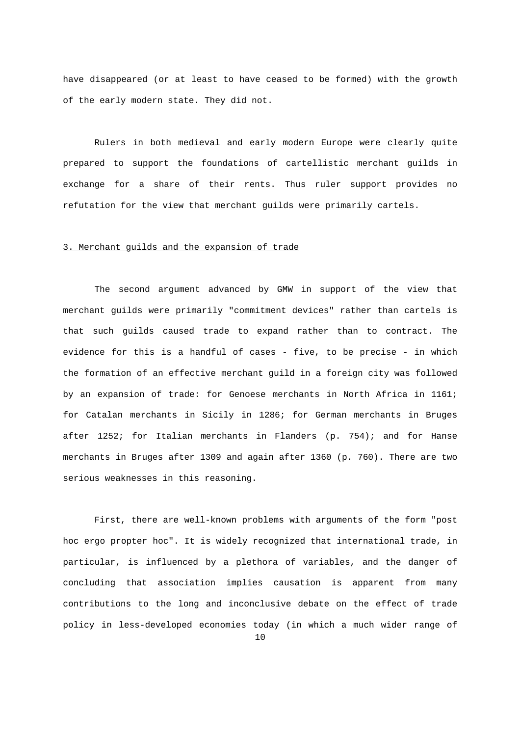have disappeared (or at least to have ceased to be formed) with the growth of the early modern state. They did not.

 Rulers in both medieval and early modern Europe were clearly quite prepared to support the foundations of cartellistic merchant guilds in exchange for a share of their rents. Thus ruler support provides no refutation for the view that merchant guilds were primarily cartels.

# 3. Merchant guilds and the expansion of trade

 The second argument advanced by GMW in support of the view that merchant guilds were primarily "commitment devices" rather than cartels is that such guilds caused trade to expand rather than to contract. The evidence for this is a handful of cases - five, to be precise - in which the formation of an effective merchant guild in a foreign city was followed by an expansion of trade: for Genoese merchants in North Africa in 1161; for Catalan merchants in Sicily in 1286; for German merchants in Bruges after 1252; for Italian merchants in Flanders (p. 754); and for Hanse merchants in Bruges after 1309 and again after 1360 (p. 760). There are two serious weaknesses in this reasoning.

10 First, there are well-known problems with arguments of the form "post hoc ergo propter hoc". It is widely recognized that international trade, in particular, is influenced by a plethora of variables, and the danger of concluding that association implies causation is apparent from many contributions to the long and inconclusive debate on the effect of trade policy in less-developed economies today (in which a much wider range of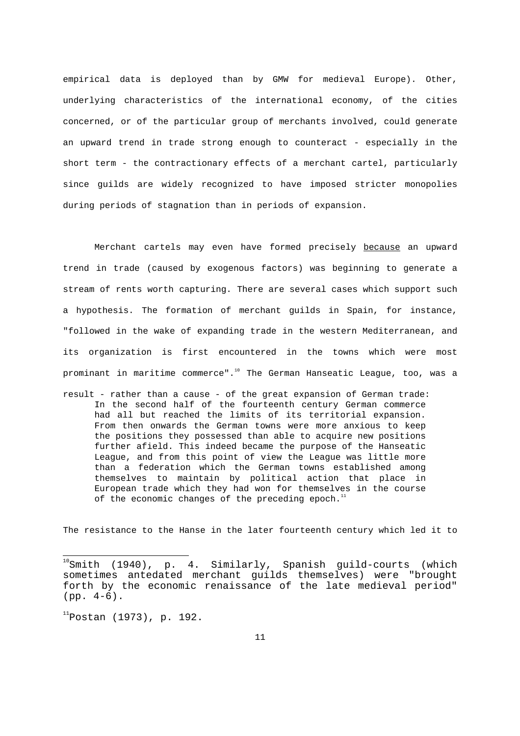empirical data is deployed than by GMW for medieval Europe). Other, underlying characteristics of the international economy, of the cities concerned, or of the particular group of merchants involved, could generate an upward trend in trade strong enough to counteract - especially in the short term - the contractionary effects of a merchant cartel, particularly since guilds are widely recognized to have imposed stricter monopolies during periods of stagnation than in periods of expansion.

 Merchant cartels may even have formed precisely because an upward trend in trade (caused by exogenous factors) was beginning to generate a stream of rents worth capturing. There are several cases which support such a hypothesis. The formation of merchant guilds in Spain, for instance, "followed in the wake of expanding trade in the western Mediterranean, and its organization is first encountered in the towns which were most prominant in maritime commerce".<sup>10</sup> The German Hanseatic League, too, was a

result - rather than a cause - of the great expansion of German trade: In the second half of the fourteenth century German commerce had all but reached the limits of its territorial expansion. From then onwards the German towns were more anxious to keep the positions they possessed than able to acquire new positions further afield. This indeed became the purpose of the Hanseatic League, and from this point of view the League was little more than a federation which the German towns established among themselves to maintain by political action that place in European trade which they had won for themselves in the course of the economic changes of the preceding epoch. $11$ 

The resistance to the Hanse in the later fourteenth century which led it to

 $11$ Postan (1973), p. 192.

 $\overline{\phantom{a}}$ 

 $^{10}$ Smith (1940), p. 4. Similarly, Spanish guild-courts (which sometimes antedated merchant guilds themselves) were "brought forth by the economic renaissance of the late medieval period" (pp. 4-6).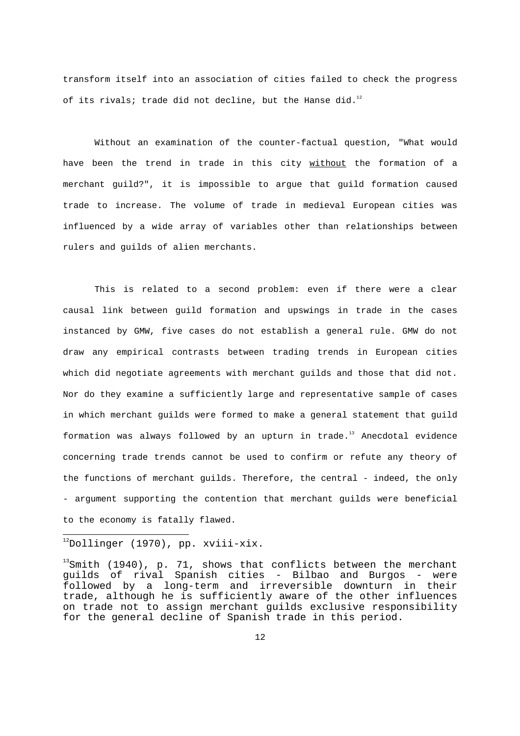transform itself into an association of cities failed to check the progress of its rivals; trade did not decline, but the Hanse did. $^{12}$ 

 Without an examination of the counter-factual question, "What would have been the trend in trade in this city without the formation of a merchant guild?", it is impossible to argue that guild formation caused trade to increase. The volume of trade in medieval European cities was influenced by a wide array of variables other than relationships between rulers and guilds of alien merchants.

 This is related to a second problem: even if there were a clear causal link between guild formation and upswings in trade in the cases instanced by GMW, five cases do not establish a general rule. GMW do not draw any empirical contrasts between trading trends in European cities which did negotiate agreements with merchant guilds and those that did not. Nor do they examine a sufficiently large and representative sample of cases in which merchant guilds were formed to make a general statement that guild formation was always followed by an upturn in trade. <sup>13</sup> Anecdotal evidence concerning trade trends cannot be used to confirm or refute any theory of the functions of merchant guilds. Therefore, the central - indeed, the only - argument supporting the contention that merchant guilds were beneficial to the economy is fatally flawed.

 $^{12}$ Dollinger (1970), pp. xviii-xix.

 $\overline{\phantom{a}}$ 

 $13$ Smith (1940), p. 71, shows that conflicts between the merchant guilds of rival Spanish cities - Bilbao and Burgos - were followed by a long-term and irreversible downturn in their trade, although he is sufficiently aware of the other influences on trade not to assign merchant guilds exclusive responsibility for the general decline of Spanish trade in this period.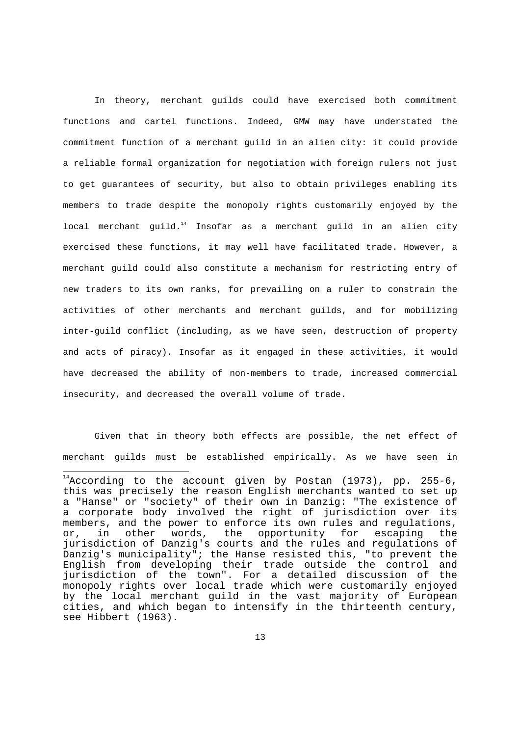In theory, merchant guilds could have exercised both commitment functions and cartel functions. Indeed, GMW may have understated the commitment function of a merchant guild in an alien city: it could provide a reliable formal organization for negotiation with foreign rulers not just to get guarantees of security, but also to obtain privileges enabling its members to trade despite the monopoly rights customarily enjoyed by the local merchant guild. $14$  Insofar as a merchant guild in an alien city exercised these functions, it may well have facilitated trade. However, a merchant guild could also constitute a mechanism for restricting entry of new traders to its own ranks, for prevailing on a ruler to constrain the activities of other merchants and merchant guilds, and for mobilizing inter-guild conflict (including, as we have seen, destruction of property and acts of piracy). Insofar as it engaged in these activities, it would have decreased the ability of non-members to trade, increased commercial insecurity, and decreased the overall volume of trade.

 Given that in theory both effects are possible, the net effect of merchant guilds must be established empirically. As we have seen in

 $\overline{\phantom{a}}$ 

 $^{14}$ According to the account given by Postan (1973), pp. 255-6, this was precisely the reason English merchants wanted to set up a "Hanse" or "society" of their own in Danzig: "The existence of a corporate body involved the right of jurisdiction over its members, and the power to enforce its own rules and regulations, or, in other words, the opportunity for escaping the jurisdiction of Danzig's courts and the rules and regulations of Danzig's municipality"; the Hanse resisted this, "to prevent the English from developing their trade outside the control and jurisdiction of the town". For a detailed discussion of the monopoly rights over local trade which were customarily enjoyed by the local merchant guild in the vast majority of European cities, and which began to intensify in the thirteenth century, see Hibbert (1963).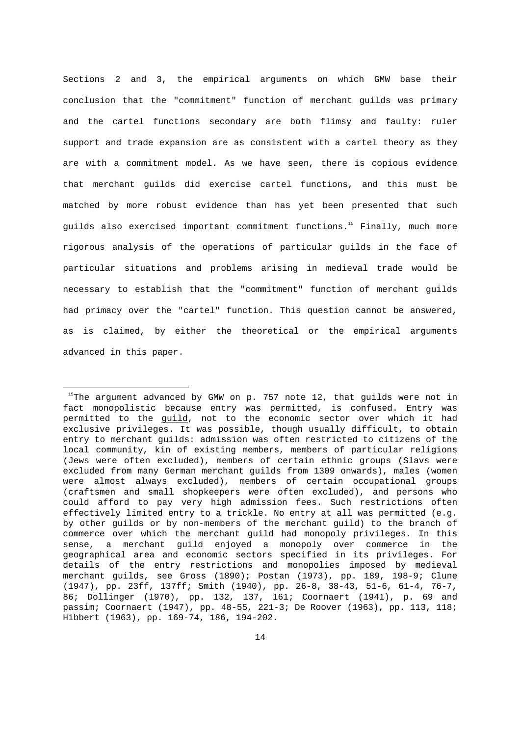Sections 2 and 3, the empirical arguments on which GMW base their conclusion that the "commitment" function of merchant guilds was primary and the cartel functions secondary are both flimsy and faulty: ruler support and trade expansion are as consistent with a cartel theory as they are with a commitment model. As we have seen, there is copious evidence that merchant guilds did exercise cartel functions, and this must be matched by more robust evidence than has yet been presented that such guilds also exercised important commitment functions. <sup>15</sup> Finally, much more rigorous analysis of the operations of particular guilds in the face of particular situations and problems arising in medieval trade would be necessary to establish that the "commitment" function of merchant guilds had primacy over the "cartel" function. This question cannot be answered, as is claimed, by either the theoretical or the empirical arguments advanced in this paper.

i

 $15$ The argument advanced by GMW on p. 757 note 12, that guilds were not in fact monopolistic because entry was permitted, is confused. Entry was permitted to the guild, not to the economic sector over which it had exclusive privileges. It was possible, though usually difficult, to obtain entry to merchant guilds: admission was often restricted to citizens of the local community, kin of existing members, members of particular religions (Jews were often excluded), members of certain ethnic groups (Slavs were excluded from many German merchant guilds from 1309 onwards), males (women were almost always excluded), members of certain occupational groups (craftsmen and small shopkeepers were often excluded), and persons who could afford to pay very high admission fees. Such restrictions often effectively limited entry to a trickle. No entry at all was permitted (e.g. by other guilds or by non-members of the merchant guild) to the branch of commerce over which the merchant guild had monopoly privileges. In this sense, a merchant guild enjoyed a monopoly over commerce in the geographical area and economic sectors specified in its privileges. For details of the entry restrictions and monopolies imposed by medieval merchant guilds, see Gross (1890); Postan (1973), pp. 189, 198-9; Clune (1947), pp. 23ff, 137ff; Smith (1940), pp. 26-8, 38-43, 51-6, 61-4, 76-7, 86; Dollinger (1970), pp. 132, 137, 161; Coornaert (1941), p. 69 and passim; Coornaert (1947), pp. 48-55, 221-3; De Roover (1963), pp. 113, 118; Hibbert (1963), pp. 169-74, 186, 194-202.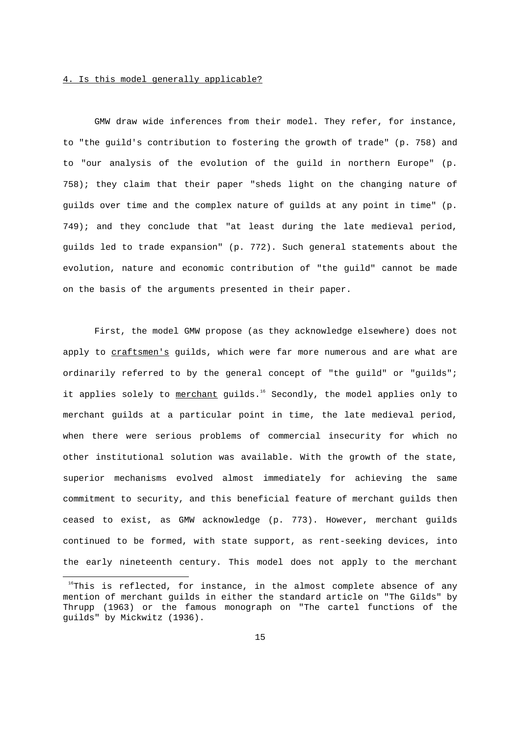### 4. Is this model generally applicable?

i

 GMW draw wide inferences from their model. They refer, for instance, to "the guild's contribution to fostering the growth of trade" (p. 758) and to "our analysis of the evolution of the guild in northern Europe" (p. 758); they claim that their paper "sheds light on the changing nature of guilds over time and the complex nature of guilds at any point in time" (p. 749); and they conclude that "at least during the late medieval period, guilds led to trade expansion" (p. 772). Such general statements about the evolution, nature and economic contribution of "the guild" cannot be made on the basis of the arguments presented in their paper.

 First, the model GMW propose (as they acknowledge elsewhere) does not apply to craftsmen's guilds, which were far more numerous and are what are ordinarily referred to by the general concept of "the guild" or "guilds"; it applies solely to merchant guilds.<sup>16</sup> Secondly, the model applies only to merchant guilds at a particular point in time, the late medieval period, when there were serious problems of commercial insecurity for which no other institutional solution was available. With the growth of the state, superior mechanisms evolved almost immediately for achieving the same commitment to security, and this beneficial feature of merchant guilds then ceased to exist, as GMW acknowledge (p. 773). However, merchant guilds continued to be formed, with state support, as rent-seeking devices, into the early nineteenth century. This model does not apply to the merchant

 $16$ This is reflected, for instance, in the almost complete absence of any mention of merchant guilds in either the standard article on "The Gilds" by Thrupp (1963) or the famous monograph on "The cartel functions of the guilds" by Mickwitz (1936).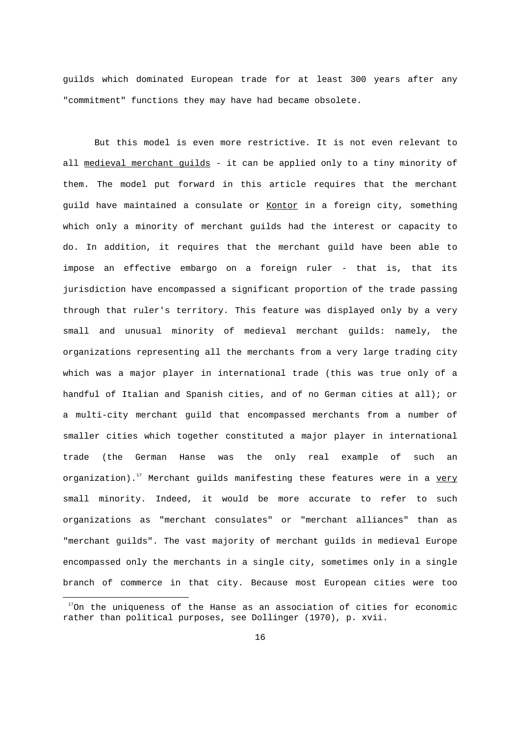guilds which dominated European trade for at least 300 years after any "commitment" functions they may have had became obsolete.

 But this model is even more restrictive. It is not even relevant to all medieval merchant quilds - it can be applied only to a tiny minority of them. The model put forward in this article requires that the merchant guild have maintained a consulate or Kontor in a foreign city, something which only a minority of merchant guilds had the interest or capacity to do. In addition, it requires that the merchant guild have been able to impose an effective embargo on a foreign ruler - that is, that its jurisdiction have encompassed a significant proportion of the trade passing through that ruler's territory. This feature was displayed only by a very small and unusual minority of medieval merchant guilds: namely, the organizations representing all the merchants from a very large trading city which was a major player in international trade (this was true only of a handful of Italian and Spanish cities, and of no German cities at all); or a multi-city merchant guild that encompassed merchants from a number of smaller cities which together constituted a major player in international trade (the German Hanse was the only real example of such an organization).<sup>17</sup> Merchant guilds manifesting these features were in a very small minority. Indeed, it would be more accurate to refer to such organizations as "merchant consulates" or "merchant alliances" than as "merchant guilds". The vast majority of merchant guilds in medieval Europe encompassed only the merchants in a single city, sometimes only in a single branch of commerce in that city. Because most European cities were too

i

 $17$ On the uniqueness of the Hanse as an association of cities for economic rather than political purposes, see Dollinger (1970), p. xvii.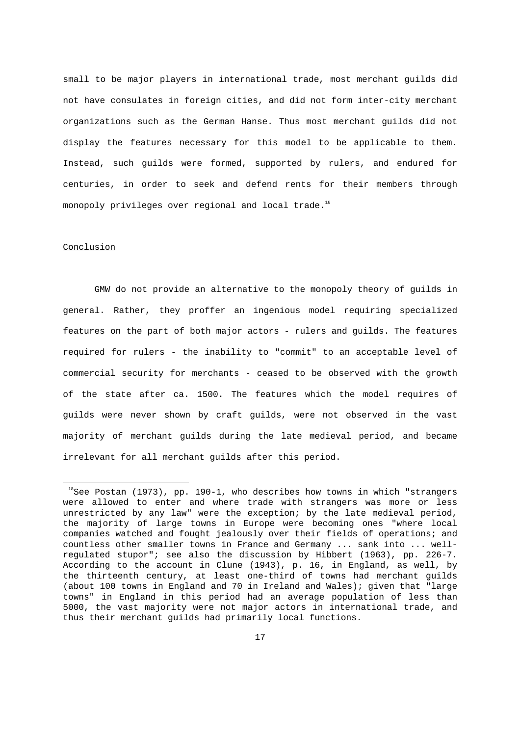small to be major players in international trade, most merchant guilds did not have consulates in foreign cities, and did not form inter-city merchant organizations such as the German Hanse. Thus most merchant guilds did not display the features necessary for this model to be applicable to them. Instead, such guilds were formed, supported by rulers, and endured for centuries, in order to seek and defend rents for their members through monopoly privileges over regional and local trade.<sup>18</sup>

### **Conclusion**

i

 GMW do not provide an alternative to the monopoly theory of guilds in general. Rather, they proffer an ingenious model requiring specialized features on the part of both major actors - rulers and guilds. The features required for rulers - the inability to "commit" to an acceptable level of commercial security for merchants - ceased to be observed with the growth of the state after ca. 1500. The features which the model requires of guilds were never shown by craft guilds, were not observed in the vast majority of merchant guilds during the late medieval period, and became irrelevant for all merchant guilds after this period.

 $18$ See Postan (1973), pp. 190-1, who describes how towns in which "strangers were allowed to enter and where trade with strangers was more or less unrestricted by any law" were the exception; by the late medieval period, the majority of large towns in Europe were becoming ones "where local companies watched and fought jealously over their fields of operations; and countless other smaller towns in France and Germany ... sank into ... wellregulated stupor"; see also the discussion by Hibbert (1963), pp. 226-7. According to the account in Clune (1943), p. 16, in England, as well, by the thirteenth century, at least one-third of towns had merchant guilds (about 100 towns in England and 70 in Ireland and Wales); given that "large towns" in England in this period had an average population of less than 5000, the vast majority were not major actors in international trade, and thus their merchant guilds had primarily local functions.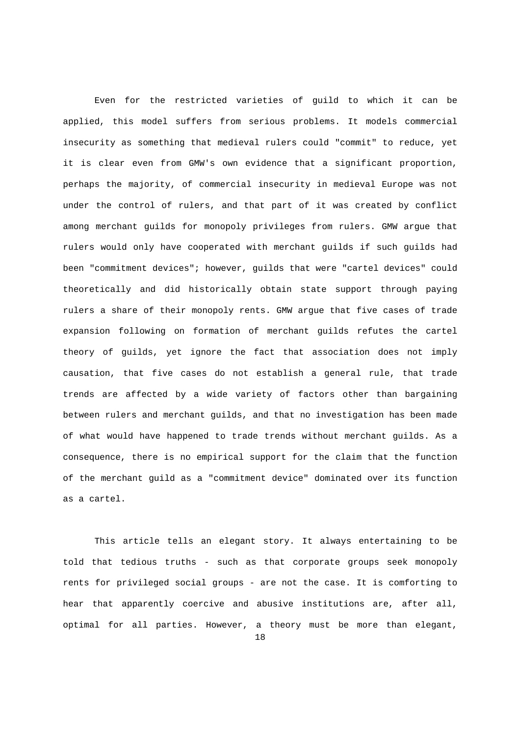Even for the restricted varieties of guild to which it can be applied, this model suffers from serious problems. It models commercial insecurity as something that medieval rulers could "commit" to reduce, yet it is clear even from GMW's own evidence that a significant proportion, perhaps the majority, of commercial insecurity in medieval Europe was not under the control of rulers, and that part of it was created by conflict among merchant guilds for monopoly privileges from rulers. GMW argue that rulers would only have cooperated with merchant guilds if such guilds had been "commitment devices"; however, guilds that were "cartel devices" could theoretically and did historically obtain state support through paying rulers a share of their monopoly rents. GMW argue that five cases of trade expansion following on formation of merchant guilds refutes the cartel theory of guilds, yet ignore the fact that association does not imply causation, that five cases do not establish a general rule, that trade trends are affected by a wide variety of factors other than bargaining between rulers and merchant guilds, and that no investigation has been made of what would have happened to trade trends without merchant guilds. As a consequence, there is no empirical support for the claim that the function of the merchant guild as a "commitment device" dominated over its function as a cartel.

 This article tells an elegant story. It always entertaining to be told that tedious truths - such as that corporate groups seek monopoly rents for privileged social groups - are not the case. It is comforting to hear that apparently coercive and abusive institutions are, after all, optimal for all parties. However, a theory must be more than elegant,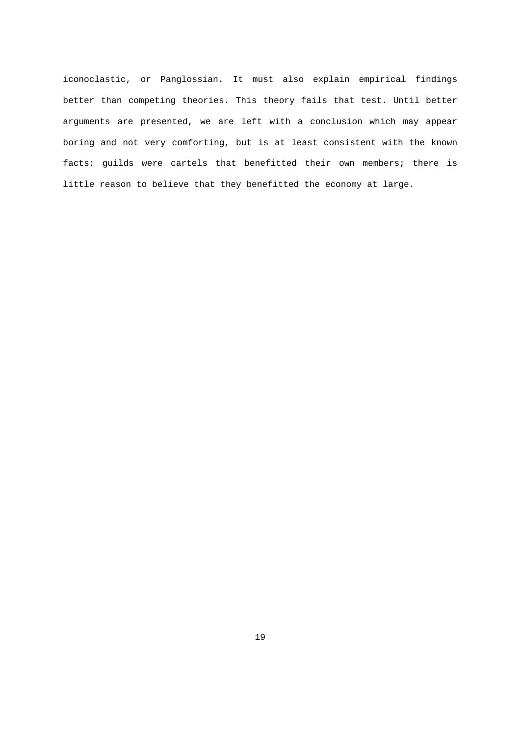iconoclastic, or Panglossian. It must also explain empirical findings better than competing theories. This theory fails that test. Until better arguments are presented, we are left with a conclusion which may appear boring and not very comforting, but is at least consistent with the known facts: guilds were cartels that benefitted their own members; there is little reason to believe that they benefitted the economy at large.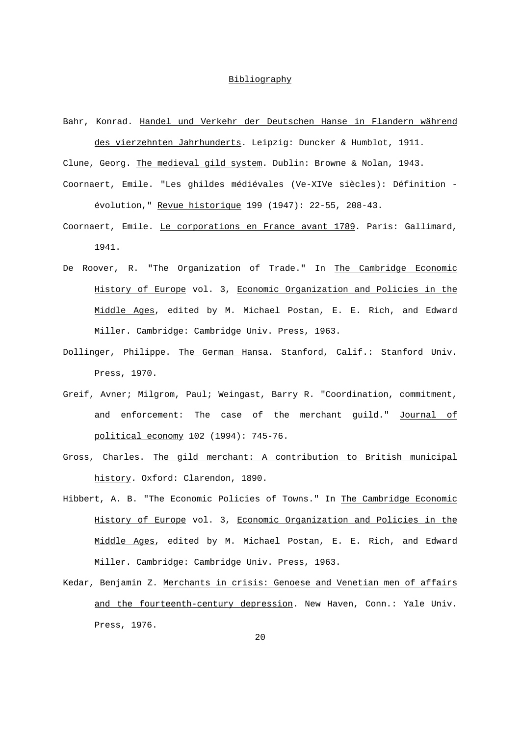# Bibliography

Bahr, Konrad. Handel und Verkehr der Deutschen Hanse in Flandern während des vierzehnten Jahrhunderts. Leipzig: Duncker & Humblot, 1911.

Clune, Georg. The medieval gild system. Dublin: Browne & Nolan, 1943.

- Coornaert, Emile. "Les ghildes médiévales (Ve-XIVe siècles): Définition évolution," Revue historique 199 (1947): 22-55, 208-43.
- Coornaert, Emile. Le corporations en France avant 1789. Paris: Gallimard, 1941.
- De Roover, R. "The Organization of Trade." In The Cambridge Economic History of Europe vol. 3, Economic Organization and Policies in the Middle Ages, edited by M. Michael Postan, E. E. Rich, and Edward Miller. Cambridge: Cambridge Univ. Press, 1963.
- Dollinger, Philippe. The German Hansa. Stanford, Calif.: Stanford Univ. Press, 1970.
- Greif, Avner; Milgrom, Paul; Weingast, Barry R. "Coordination, commitment, and enforcement: The case of the merchant guild." Journal of political economy 102 (1994): 745-76.
- Gross, Charles. The gild merchant: A contribution to British municipal history. Oxford: Clarendon, 1890.
- Hibbert, A. B. "The Economic Policies of Towns." In The Cambridge Economic History of Europe vol. 3, Economic Organization and Policies in the Middle Ages, edited by M. Michael Postan, E. E. Rich, and Edward Miller. Cambridge: Cambridge Univ. Press, 1963.
- Kedar, Benjamin Z. Merchants in crisis: Genoese and Venetian men of affairs and the fourteenth-century depression. New Haven, Conn.: Yale Univ. Press, 1976.